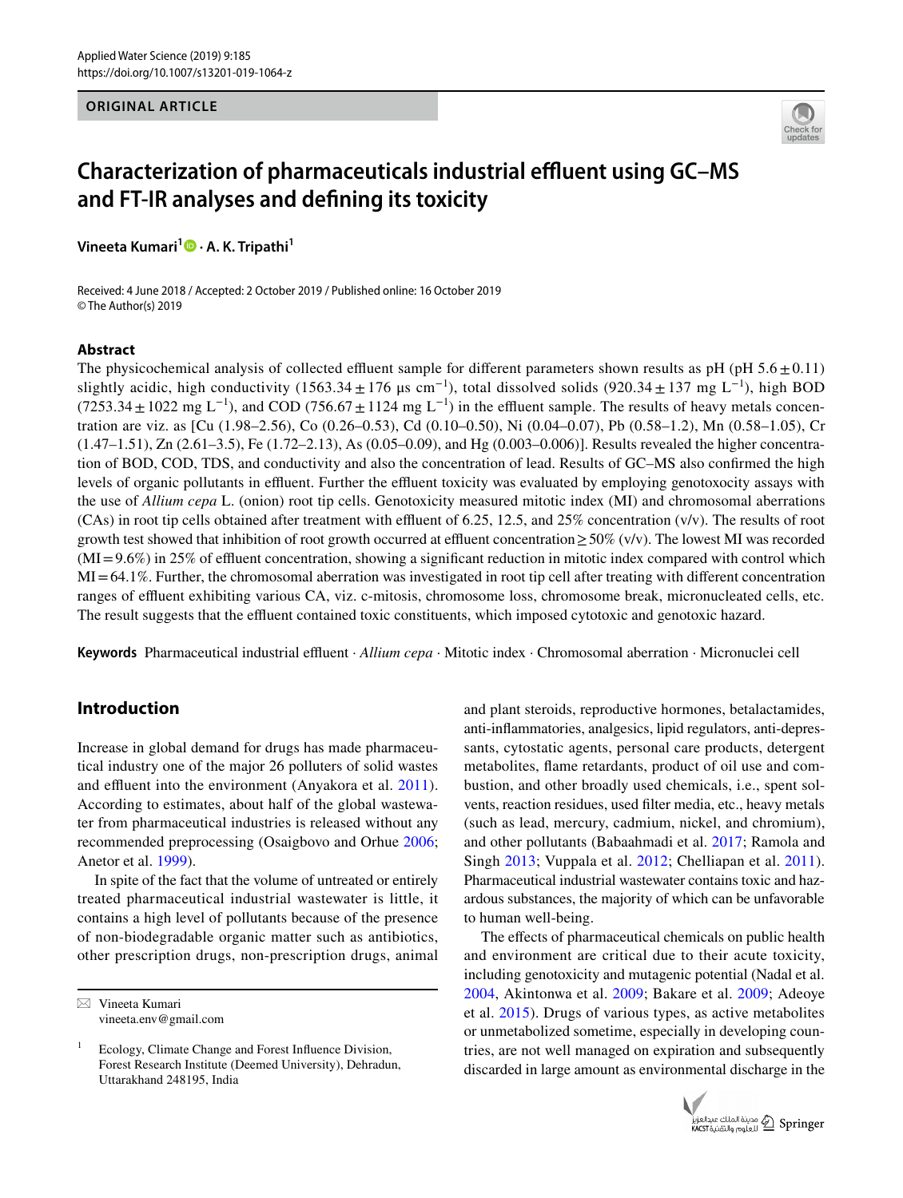## **ORIGINAL ARTICLE**



# **Characterization of pharmaceuticals industrial effluent using GC-MS and FT‑IR analyses and defning its toxicity**

**Vineeta Kumari<sup>1</sup> • A. K. Tripathi<sup>1</sup>** 

Received: 4 June 2018 / Accepted: 2 October 2019 / Published online: 16 October 2019 © The Author(s) 2019

#### **Abstract**

The physicochemical analysis of collected effluent sample for different parameters shown results as pH (pH  $5.6 \pm 0.11$ ) slightly acidic, high conductivity (1563.34 ± 176 μs cm<sup>-1</sup>), total dissolved solids (920.34 ± 137 mg L<sup>-1</sup>), high BOD  $(7253.34+1022 \text{ mg } L^{-1})$ , and COD  $(756.67+1124 \text{ mg } L^{-1})$  in the effluent sample. The results of heavy metals concentration are viz. as [Cu (1.98–2.56), Co (0.26–0.53), Cd (0.10–0.50), Ni (0.04–0.07), Pb (0.58–1.2), Mn (0.58–1.05), Cr (1.47–1.51), Zn (2.61–3.5), Fe (1.72–2.13), As (0.05–0.09), and Hg (0.003–0.006)]. Results revealed the higher concentration of BOD, COD, TDS, and conductivity and also the concentration of lead. Results of GC–MS also confrmed the high levels of organic pollutants in effluent. Further the effluent toxicity was evaluated by employing genotoxocity assays with the use of *Allium cepa* L. (onion) root tip cells. Genotoxicity measured mitotic index (MI) and chromosomal aberrations (CAs) in root tip cells obtained after treatment with effluent of 6.25, 12.5, and 25% concentration ( $v/v$ ). The results of root growth test showed that inhibition of root growth occurred at effluent concentration  $\geq$  50% (v/v). The lowest MI was recorded  $(MI=9.6%)$  in 25% of effluent concentration, showing a significant reduction in mitotic index compared with control which MI=64.1%. Further, the chromosomal aberration was investigated in root tip cell after treating with diferent concentration ranges of efuent exhibiting various CA, viz. c-mitosis, chromosome loss, chromosome break, micronucleated cells, etc. The result suggests that the effluent contained toxic constituents, which imposed cytotoxic and genotoxic hazard.

Keywords Pharmaceutical industrial effluent · *Allium cepa* · Mitotic index · Chromosomal aberration · Micronuclei cell

## **Introduction**

Increase in global demand for drugs has made pharmaceutical industry one of the major 26 polluters of solid wastes and effluent into the environment (Anyakora et al. [2011](#page-6-0)). According to estimates, about half of the global wastewater from pharmaceutical industries is released without any recommended preprocessing (Osaigbovo and Orhue [2006](#page-6-1); Anetor et al. [1999\)](#page-6-2).

In spite of the fact that the volume of untreated or entirely treated pharmaceutical industrial wastewater is little, it contains a high level of pollutants because of the presence of non-biodegradable organic matter such as antibiotics, other prescription drugs, non-prescription drugs, animal and plant steroids, reproductive hormones, betalactamides, anti-infammatories, analgesics, lipid regulators, anti-depressants, cytostatic agents, personal care products, detergent metabolites, fame retardants, product of oil use and combustion, and other broadly used chemicals, i.e., spent solvents, reaction residues, used flter media, etc., heavy metals (such as lead, mercury, cadmium, nickel, and chromium), and other pollutants (Babaahmadi et al. [2017;](#page-6-3) Ramola and Singh [2013;](#page-7-0) Vuppala et al. [2012;](#page-7-1) Chelliapan et al. [2011](#page-6-4)). Pharmaceutical industrial wastewater contains toxic and hazardous substances, the majority of which can be unfavorable to human well-being.

The effects of pharmaceutical chemicals on public health and environment are critical due to their acute toxicity, including genotoxicity and mutagenic potential (Nadal et al. [2004,](#page-6-5) Akintonwa et al. [2009;](#page-6-6) Bakare et al. [2009](#page-6-7); Adeoye et al. [2015\)](#page-6-8). Drugs of various types, as active metabolites or unmetabolized sometime, especially in developing countries, are not well managed on expiration and subsequently discarded in large amount as environmental discharge in the



 $\boxtimes$  Vineeta Kumari vineeta.env@gmail.com

Ecology, Climate Change and Forest Influence Division, Forest Research Institute (Deemed University), Dehradun, Uttarakhand 248195, India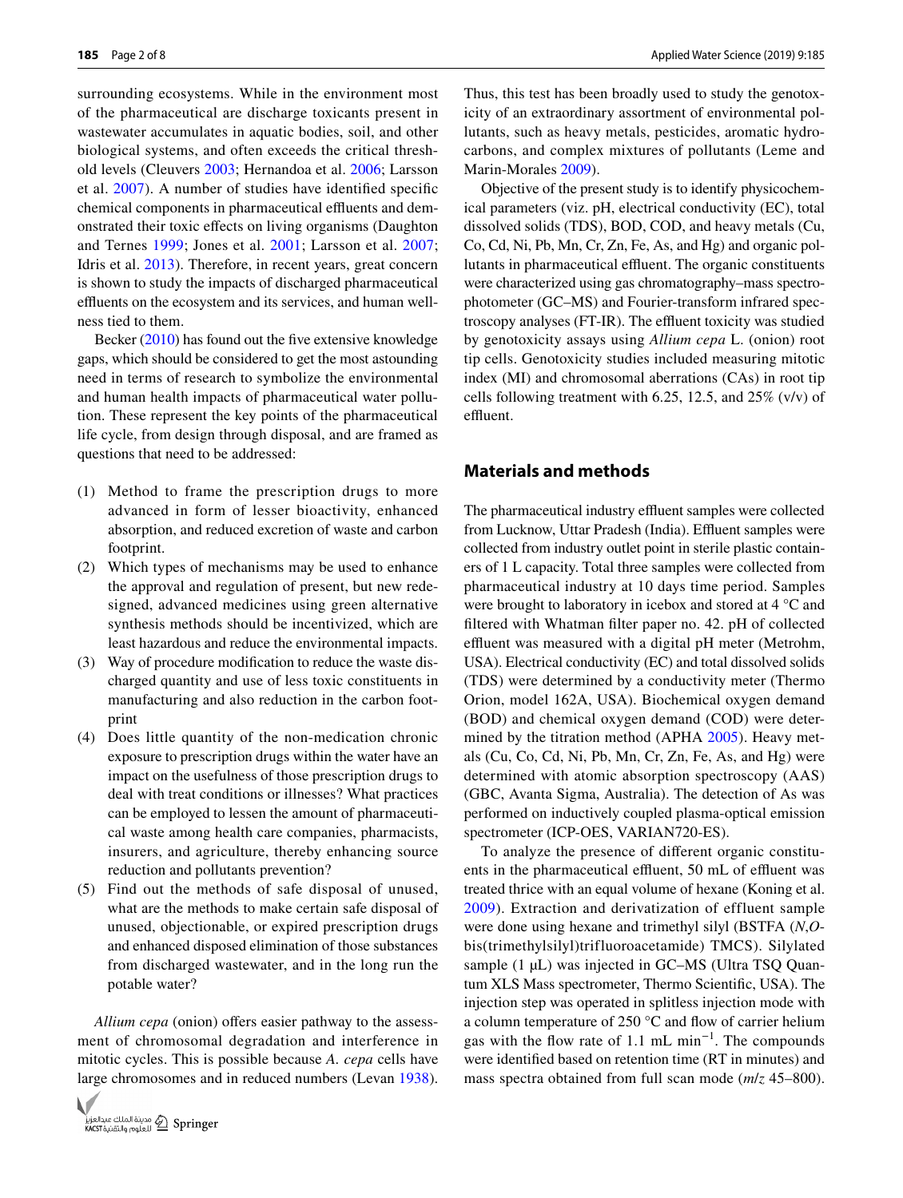surrounding ecosystems. While in the environment most of the pharmaceutical are discharge toxicants present in wastewater accumulates in aquatic bodies, soil, and other biological systems, and often exceeds the critical threshold levels (Cleuvers [2003](#page-6-9); Hernandoa et al. [2006](#page-6-10); Larsson et al. [2007](#page-6-11)). A number of studies have identifed specifc chemical components in pharmaceutical effluents and demonstrated their toxic efects on living organisms (Daughton and Ternes [1999](#page-6-12); Jones et al. [2001;](#page-6-13) Larsson et al. [2007](#page-6-11); Idris et al. [2013\)](#page-6-14). Therefore, in recent years, great concern is shown to study the impacts of discharged pharmaceutical effluents on the ecosystem and its services, and human wellness tied to them.

Becker ([2010](#page-6-15)) has found out the five extensive knowledge gaps, which should be considered to get the most astounding need in terms of research to symbolize the environmental and human health impacts of pharmaceutical water pollution. These represent the key points of the pharmaceutical life cycle, from design through disposal, and are framed as questions that need to be addressed:

- (1) Method to frame the prescription drugs to more advanced in form of lesser bioactivity, enhanced absorption, and reduced excretion of waste and carbon footprint.
- (2) Which types of mechanisms may be used to enhance the approval and regulation of present, but new redesigned, advanced medicines using green alternative synthesis methods should be incentivized, which are least hazardous and reduce the environmental impacts.
- (3) Way of procedure modifcation to reduce the waste discharged quantity and use of less toxic constituents in manufacturing and also reduction in the carbon footprint
- (4) Does little quantity of the non-medication chronic exposure to prescription drugs within the water have an impact on the usefulness of those prescription drugs to deal with treat conditions or illnesses? What practices can be employed to lessen the amount of pharmaceutical waste among health care companies, pharmacists, insurers, and agriculture, thereby enhancing source reduction and pollutants prevention?
- (5) Find out the methods of safe disposal of unused, what are the methods to make certain safe disposal of unused, objectionable, or expired prescription drugs and enhanced disposed elimination of those substances from discharged wastewater, and in the long run the potable water?

*Allium cepa* (onion) offers easier pathway to the assessment of chromosomal degradation and interference in mitotic cycles. This is possible because *A. cepa* cells have large chromosomes and in reduced numbers (Levan [1938](#page-6-16)).



Thus, this test has been broadly used to study the genotoxicity of an extraordinary assortment of environmental pollutants, such as heavy metals, pesticides, aromatic hydrocarbons, and complex mixtures of pollutants (Leme and Marin-Morales [2009](#page-6-17)).

Objective of the present study is to identify physicochemical parameters (viz. pH, electrical conductivity (EC), total dissolved solids (TDS), BOD, COD, and heavy metals (Cu, Co, Cd, Ni, Pb, Mn, Cr, Zn, Fe, As, and Hg) and organic pollutants in pharmaceutical effluent. The organic constituents were characterized using gas chromatography–mass spectrophotometer (GC–MS) and Fourier-transform infrared spectroscopy analyses (FT-IR). The effluent toxicity was studied by genotoxicity assays using *Allium cepa* L. (onion) root tip cells. Genotoxicity studies included measuring mitotic index (MI) and chromosomal aberrations (CAs) in root tip cells following treatment with 6.25, 12.5, and 25% (v/v) of effluent.

## **Materials and methods**

The pharmaceutical industry effluent samples were collected from Lucknow, Uttar Pradesh (India). Effluent samples were collected from industry outlet point in sterile plastic containers of 1 L capacity. Total three samples were collected from pharmaceutical industry at 10 days time period. Samples were brought to laboratory in icebox and stored at 4 °C and fltered with Whatman flter paper no. 42. pH of collected effluent was measured with a digital pH meter (Metrohm, USA). Electrical conductivity (EC) and total dissolved solids (TDS) were determined by a conductivity meter (Thermo Orion, model 162A, USA). Biochemical oxygen demand (BOD) and chemical oxygen demand (COD) were determined by the titration method (APHA [2005](#page-6-18)). Heavy metals (Cu, Co, Cd, Ni, Pb, Mn, Cr, Zn, Fe, As, and Hg) were determined with atomic absorption spectroscopy (AAS) (GBC, Avanta Sigma, Australia). The detection of As was performed on inductively coupled plasma-optical emission spectrometer (ICP-OES, VARIAN720-ES).

To analyze the presence of diferent organic constituents in the pharmaceutical effluent, 50 mL of effluent was treated thrice with an equal volume of hexane (Koning et al. [2009](#page-6-19)). Extraction and derivatization of effluent sample were done using hexane and trimethyl silyl (BSTFA (*N*,*O*bis(trimethylsilyl)trifluoroacetamide) TMCS). Silylated sample (1 µL) was injected in GC–MS (Ultra TSQ Quantum XLS Mass spectrometer, Thermo Scientifc, USA). The injection step was operated in splitless injection mode with a column temperature of 250 °C and flow of carrier helium gas with the flow rate of 1.1 mL min<sup>-1</sup>. The compounds were identifed based on retention time (RT in minutes) and mass spectra obtained from full scan mode (*m*/*z* 45–800).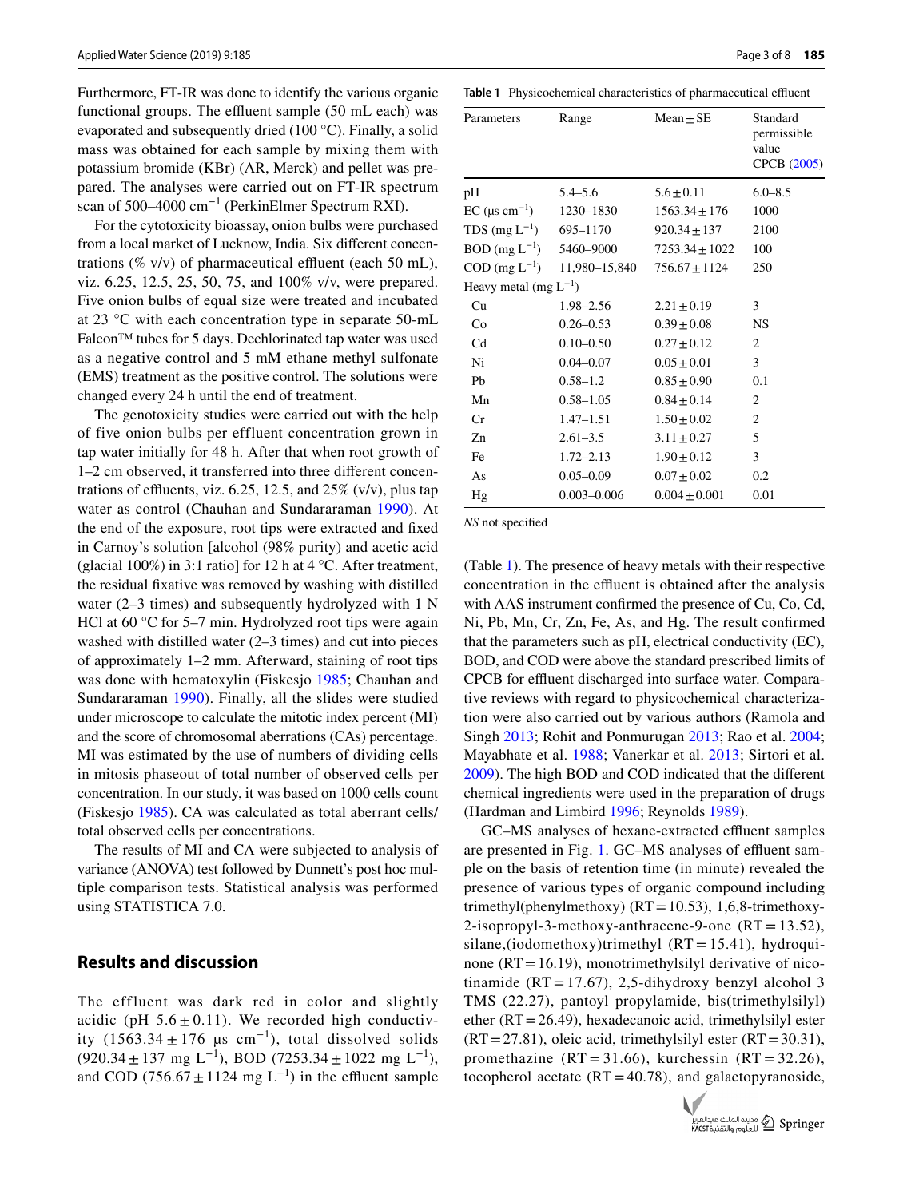Furthermore, FT-IR was done to identify the various organic functional groups. The effluent sample (50 mL each) was evaporated and subsequently dried (100 °C). Finally, a solid mass was obtained for each sample by mixing them with potassium bromide (KBr) (AR, Merck) and pellet was prepared. The analyses were carried out on FT-IR spectrum scan of 500–4000 cm<sup>-1</sup> (PerkinElmer Spectrum RXI).

For the cytotoxicity bioassay, onion bulbs were purchased from a local market of Lucknow, India. Six diferent concentrations (% v/v) of pharmaceutical effluent (each 50 mL), viz. 6.25, 12.5, 25, 50, 75, and 100% v/v, were prepared. Five onion bulbs of equal size were treated and incubated at 23 °C with each concentration type in separate 50-mL Falcon™ tubes for 5 days. Dechlorinated tap water was used as a negative control and 5 mM ethane methyl sulfonate (EMS) treatment as the positive control. The solutions were changed every 24 h until the end of treatment.

The genotoxicity studies were carried out with the help of five onion bulbs per effluent concentration grown in tap water initially for 48 h. After that when root growth of 1–2 cm observed, it transferred into three diferent concentrations of effluents, viz. 6.25, 12.5, and  $25\%$  (v/v), plus tap water as control (Chauhan and Sundararaman [1990](#page-6-20)). At the end of the exposure, root tips were extracted and fxed in Carnoy's solution [alcohol (98% purity) and acetic acid (glacial 100%) in 3:1 ratio] for 12 h at  $4^{\circ}$ C. After treatment, the residual fxative was removed by washing with distilled water (2–3 times) and subsequently hydrolyzed with 1 N HCl at 60 °C for 5–7 min. Hydrolyzed root tips were again washed with distilled water (2–3 times) and cut into pieces of approximately 1–2 mm. Afterward, staining of root tips was done with hematoxylin (Fiskesjo [1985](#page-6-21); Chauhan and Sundararaman [1990\)](#page-6-20). Finally, all the slides were studied under microscope to calculate the mitotic index percent (MI) and the score of chromosomal aberrations (CAs) percentage. MI was estimated by the use of numbers of dividing cells in mitosis phaseout of total number of observed cells per concentration. In our study, it was based on 1000 cells count (Fiskesjo [1985](#page-6-21)). CA was calculated as total aberrant cells/ total observed cells per concentrations.

The results of MI and CA were subjected to analysis of variance (ANOVA) test followed by Dunnett's post hoc multiple comparison tests. Statistical analysis was performed using STATISTICA 7.0.

## **Results and discussion**

The effluent was dark red in color and slightly acidic (pH  $5.6 \pm 0.11$ ). We recorded high conductivity  $(1563.34 \pm 176 \text{ }\mu\text{s cm}^{-1})$ , total dissolved solids  $(920.34 \pm 137 \text{ mg } L^{-1})$ , BOD  $(7253.34 \pm 1022 \text{ mg } L^{-1})$ , and COD (756.67  $\pm$  1124 mg L<sup>-1</sup>) in the effluent sample

<span id="page-2-0"></span>**Table 1** Physicochemical characteristics of pharmaceutical effluent

| Parameters                      | Range           | $Mean \pm SE$      | Standard<br>permissible<br>value<br>CPCB (2005) |  |
|---------------------------------|-----------------|--------------------|-------------------------------------------------|--|
| pH                              | $5.4 - 5.6$     | $5.6 \pm 0.11$     | $6.0 - 8.5$                                     |  |
| EC ( $\mu$ s cm <sup>-1</sup> ) | 1230-1830       | $1563.34 \pm 176$  | 1000                                            |  |
| TDS $(mg L^{-1})$               | 695-1170        | $920.34 \pm 137$   | 2100                                            |  |
| BOD (mg $L^{-1}$ ) 5460-9000    |                 | $7253.34 \pm 1022$ | 100                                             |  |
| $COD$ (mg $L^{-1}$ )            | 11,980-15,840   | $756.67 + 1124$    | 250                                             |  |
| Heavy metal (mg $L^{-1}$ )      |                 |                    |                                                 |  |
| Cu                              | 1.98–2.56       | $2.21 + 0.19$      | 3                                               |  |
| Co                              | $0.26 - 0.53$   | $0.39 \pm 0.08$    | <b>NS</b>                                       |  |
| C <sub>d</sub>                  | $0.10 - 0.50$   | $0.27 \pm 0.12$    | 2                                               |  |
| Ni                              | $0.04 - 0.07$   | $0.05 \pm 0.01$    | 3                                               |  |
| Pb                              | $0.58 - 1.2$    | $0.85 \pm 0.90$    | 0.1                                             |  |
| Mn                              | $0.58 - 1.05$   | $0.84 \pm 0.14$    | $\mathfrak{2}$                                  |  |
| Cr                              | $1.47 - 1.51$   | $1.50 \pm 0.02$    | 2                                               |  |
| Zn                              | $2.61 - 3.5$    | $3.11 \pm 0.27$    | 5                                               |  |
| Fe                              | $1.72 - 2.13$   | $1.90 \pm 0.12$    | 3                                               |  |
| As                              | $0.05 - 0.09$   | $0.07 \pm 0.02$    | 0.2                                             |  |
| Hg                              | $0.003 - 0.006$ | $0.004 + 0.001$    | 0.01                                            |  |

*NS* not specifed

(Table [1\)](#page-2-0). The presence of heavy metals with their respective concentration in the effluent is obtained after the analysis with AAS instrument confrmed the presence of Cu, Co, Cd, Ni, Pb, Mn, Cr, Zn, Fe, As, and Hg. The result confrmed that the parameters such as pH, electrical conductivity (EC), BOD, and COD were above the standard prescribed limits of CPCB for effluent discharged into surface water. Comparative reviews with regard to physicochemical characterization were also carried out by various authors (Ramola and Singh [2013;](#page-7-0) Rohit and Ponmurugan [2013;](#page-7-2) Rao et al. [2004](#page-7-3); Mayabhate et al. [1988](#page-6-22); Vanerkar et al. [2013](#page-7-4); Sirtori et al. [2009](#page-7-5)). The high BOD and COD indicated that the diferent chemical ingredients were used in the preparation of drugs (Hardman and Limbird [1996](#page-6-23); Reynolds [1989\)](#page-7-6).

GC–MS analyses of hexane-extracted effluent samples are presented in Fig. [1](#page-3-0). GC–MS analyses of effluent sample on the basis of retention time (in minute) revealed the presence of various types of organic compound including trimethyl(phenylmethoxy) ( $RT = 10.53$ ), 1,6,8-trimethoxy-2-isopropyl-3-methoxy-anthracene-9-one (RT = 13.52), silane,(iodomethoxy)trimethyl  $(RT = 15.41)$ , hydroquinone  $(RT=16.19)$ , monotrimethylsilyl derivative of nicotinamide (RT = 17.67), 2,5-dihydroxy benzyl alcohol 3 TMS (22.27), pantoyl propylamide, bis(trimethylsilyl) ether  $(RT=26.49)$ , hexadecanoic acid, trimethylsilyl ester  $(RT=27.81)$ , oleic acid, trimethylsilyl ester  $(RT=30.31)$ , promethazine  $(RT = 31.66)$ , kurchessin  $(RT = 32.26)$ , tocopherol acetate  $(RT=40.78)$ , and galactopyranoside,

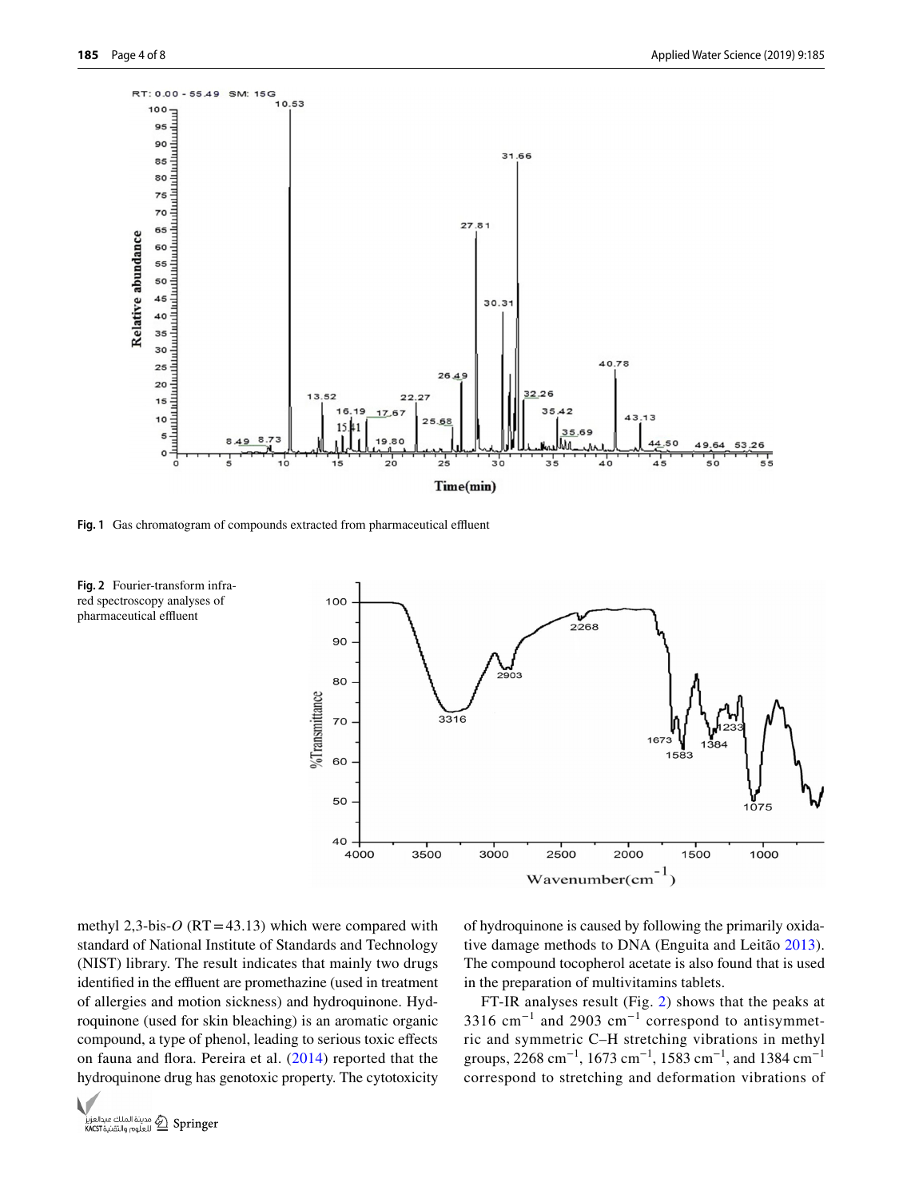

<span id="page-3-0"></span>Fig. 1 Gas chromatogram of compounds extracted from pharmaceutical effluent

<span id="page-3-1"></span>



methyl 2,3-bis- $O$  (RT = 43.13) which were compared with standard of National Institute of Standards and Technology (NIST) library. The result indicates that mainly two drugs identified in the effluent are promethazine (used in treatment of allergies and motion sickness) and hydroquinone. Hydroquinone (used for skin bleaching) is an aromatic organic compound, a type of phenol, leading to serious toxic efects on fauna and fora. Pereira et al. ([2014](#page-6-25)) reported that the hydroquinone drug has genotoxic property. The cytotoxicity of hydroquinone is caused by following the primarily oxidative damage methods to DNA (Enguita and Leitão [2013](#page-6-26)). The compound tocopherol acetate is also found that is used in the preparation of multivitamins tablets.

FT-IR analyses result (Fig. [2\)](#page-3-1) shows that the peaks at 3316 cm<sup>-1</sup> and 2903 cm<sup>-1</sup> correspond to antisymmetric and symmetric C–H stretching vibrations in methyl groups, 2268 cm<sup>-1</sup>, 1673 cm<sup>-1</sup>, 1583 cm<sup>-1</sup>, and 1384 cm<sup>-1</sup> correspond to stretching and deformation vibrations of

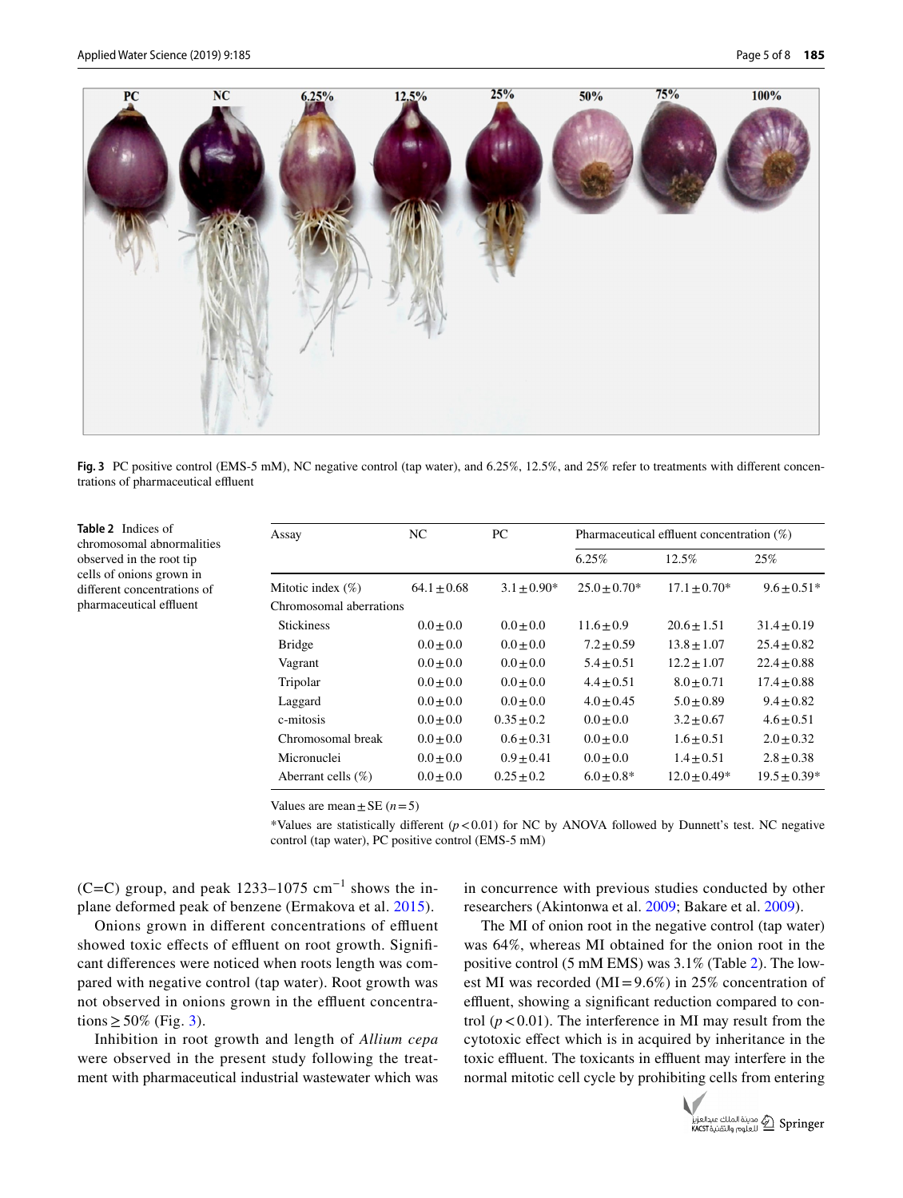<span id="page-4-1"></span><span id="page-4-0"></span>**Table 2** Indices of chromosomal abnormalities observed in the root tip cells of onions grown in diferent concentrations of pharmaceutical effluent



**Fig. 3** PC positive control (EMS-5 mM), NC negative control (tap water), and  $6.25\%$ , 12.5%, and 25% refer to treatments with different concentrations of pharmaceutical effluent

| Assay                   | NC.           | PC.           | Pharmaceutical effluent concentration $(\%)$ |                |                |
|-------------------------|---------------|---------------|----------------------------------------------|----------------|----------------|
|                         |               |               | 6.25%                                        | 12.5%          | 25%            |
| Mitotic index $(\%)$    | $64.1 + 0.68$ | $3.1 + 0.90*$ | $25.0 + 0.70*$                               | $17.1 + 0.70*$ | $9.6 + 0.51*$  |
| Chromosomal aberrations |               |               |                                              |                |                |
| <b>Stickiness</b>       | $0.0 + 0.0$   | $0.0 + 0.0$   | $11.6 + 0.9$                                 | $20.6 + 1.51$  | $31.4 + 0.19$  |
| <b>Bridge</b>           | $0.0 + 0.0$   | $0.0 + 0.0$   | $7.2 + 0.59$                                 | $13.8 + 1.07$  | $25.4 + 0.82$  |
| Vagrant                 | $0.0 + 0.0$   | $0.0 + 0.0$   | $5.4 + 0.51$                                 | $12.2 + 1.07$  | $22.4 + 0.88$  |
| Tripolar                | $0.0 + 0.0$   | $0.0 + 0.0$   | $4.4 + 0.51$                                 | $8.0 + 0.71$   | $17.4 + 0.88$  |
| Laggard                 | $0.0 + 0.0$   | $0.0 + 0.0$   | $4.0 + 0.45$                                 | $5.0 + 0.89$   | $9.4 + 0.82$   |
| c-mitosis               | $0.0 \pm 0.0$ | $0.35 + 0.2$  | $0.0 + 0.0$                                  | $3.2 \pm 0.67$ | $4.6 + 0.51$   |
| Chromosomal break       | $0.0 + 0.0$   | $0.6 + 0.31$  | $0.0 + 0.0$                                  | $1.6 \pm 0.51$ | $2.0 + 0.32$   |
| Micronuclei             | $0.0 + 0.0$   | $0.9 + 0.41$  | $0.0 + 0.0$                                  | $1.4 + 0.51$   | $2.8 + 0.38$   |
| Aberrant cells $(\%)$   | $0.0 \pm 0.0$ | $0.25 + 0.2$  | $6.0 + 0.8*$                                 | $12.0 + 0.49*$ | $19.5 + 0.39*$ |

Values are mean  $\pm$  SE ( $n=5$ )

\*Values are statistically different  $(p<0.01)$  for NC by ANOVA followed by Dunnett's test. NC negative control (tap water), PC positive control (EMS-5 mM)

(C=C) group, and peak 1233–1075 cm<sup>-1</sup> shows the inplane deformed peak of benzene (Ermakova et al. [2015\)](#page-6-27).

Onions grown in different concentrations of effluent showed toxic effects of effluent on root growth. Significant diferences were noticed when roots length was compared with negative control (tap water). Root growth was not observed in onions grown in the effluent concentrations  $\geq 50\%$  (Fig. [3\)](#page-4-0).

Inhibition in root growth and length of *Allium cepa* were observed in the present study following the treatment with pharmaceutical industrial wastewater which was in concurrence with previous studies conducted by other researchers (Akintonwa et al. [2009](#page-6-6); Bakare et al. [2009\)](#page-6-7).

The MI of onion root in the negative control (tap water) was 64%, whereas MI obtained for the onion root in the positive control (5 mM EMS) was 3.1% (Table [2](#page-4-1)). The lowest MI was recorded (MI=9.6%) in 25% concentration of effluent, showing a significant reduction compared to control  $(p < 0.01)$ . The interference in MI may result from the cytotoxic efect which is in acquired by inheritance in the toxic effluent. The toxicants in effluent may interfere in the normal mitotic cell cycle by prohibiting cells from entering

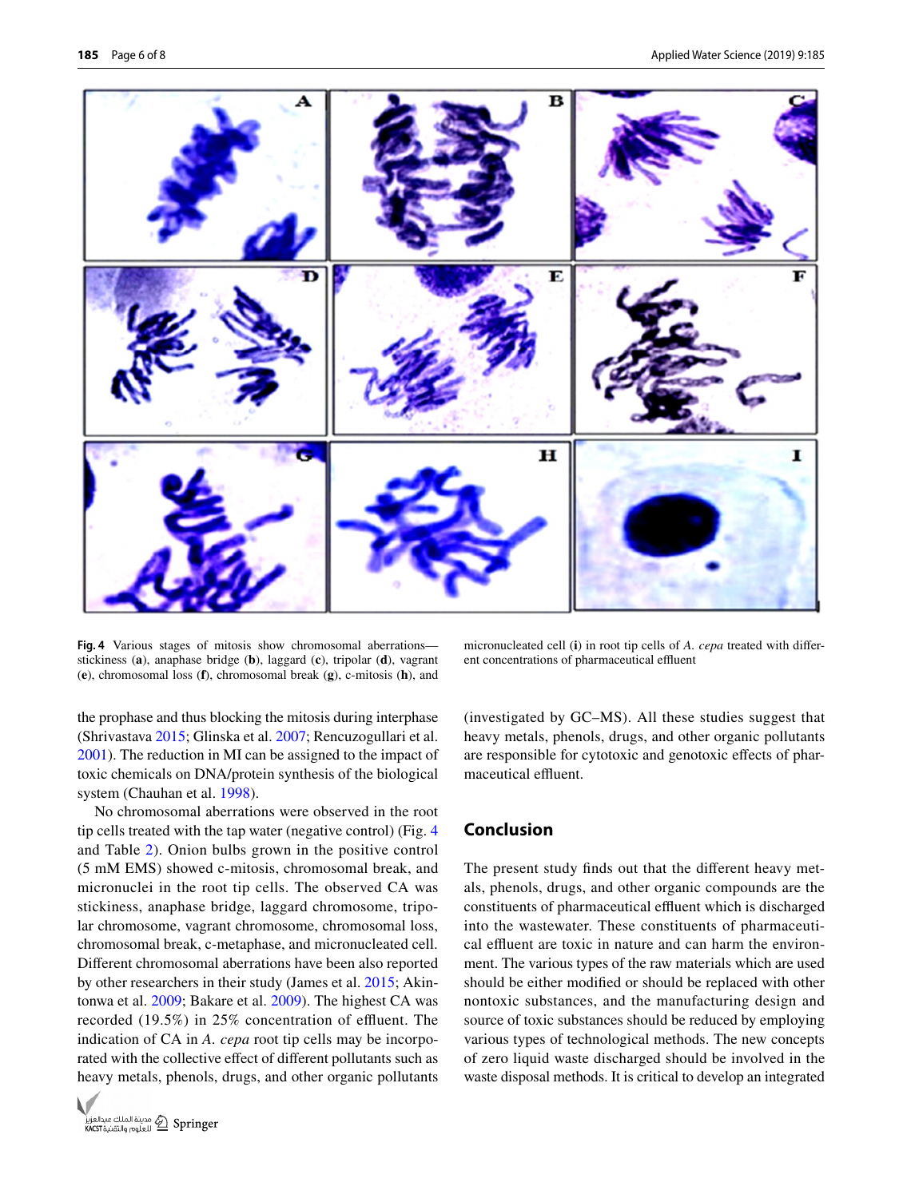

<span id="page-5-0"></span>**Fig. 4** Various stages of mitosis show chromosomal aberrations stickiness (**a**), anaphase bridge (**b**), laggard (**c**), tripolar (**d**), vagrant (**e**), chromosomal loss (**f**), chromosomal break (**g**), c-mitosis (**h**), and

micronucleated cell (**i**) in root tip cells of *A. cepa* treated with diferent concentrations of pharmaceutical effluent

the prophase and thus blocking the mitosis during interphase (Shrivastava [2015](#page-7-7); Glinska et al. [2007;](#page-6-28) Rencuzogullari et al. [2001](#page-7-8)). The reduction in MI can be assigned to the impact of toxic chemicals on DNA/protein synthesis of the biological system (Chauhan et al. [1998](#page-6-29)).

No chromosomal aberrations were observed in the root tip cells treated with the tap water (negative control) (Fig. [4](#page-5-0) and Table [2](#page-4-1)). Onion bulbs grown in the positive control (5 mM EMS) showed c-mitosis, chromosomal break, and micronuclei in the root tip cells. The observed CA was stickiness, anaphase bridge, laggard chromosome, tripolar chromosome, vagrant chromosome, chromosomal loss, chromosomal break, c-metaphase, and micronucleated cell. Diferent chromosomal aberrations have been also reported by other researchers in their study (James et al. [2015;](#page-6-30) Akintonwa et al. [2009](#page-6-6); Bakare et al. [2009\)](#page-6-7). The highest CA was recorded (19.5%) in 25% concentration of effluent. The indication of CA in *A. cepa* root tip cells may be incorporated with the collective efect of diferent pollutants such as heavy metals, phenols, drugs, and other organic pollutants



(investigated by GC–MS). All these studies suggest that heavy metals, phenols, drugs, and other organic pollutants are responsible for cytotoxic and genotoxic efects of pharmaceutical effluent.

## **Conclusion**

The present study fnds out that the diferent heavy metals, phenols, drugs, and other organic compounds are the constituents of pharmaceutical effluent which is discharged into the wastewater. These constituents of pharmaceutical effluent are toxic in nature and can harm the environment. The various types of the raw materials which are used should be either modifed or should be replaced with other nontoxic substances, and the manufacturing design and source of toxic substances should be reduced by employing various types of technological methods. The new concepts of zero liquid waste discharged should be involved in the waste disposal methods. It is critical to develop an integrated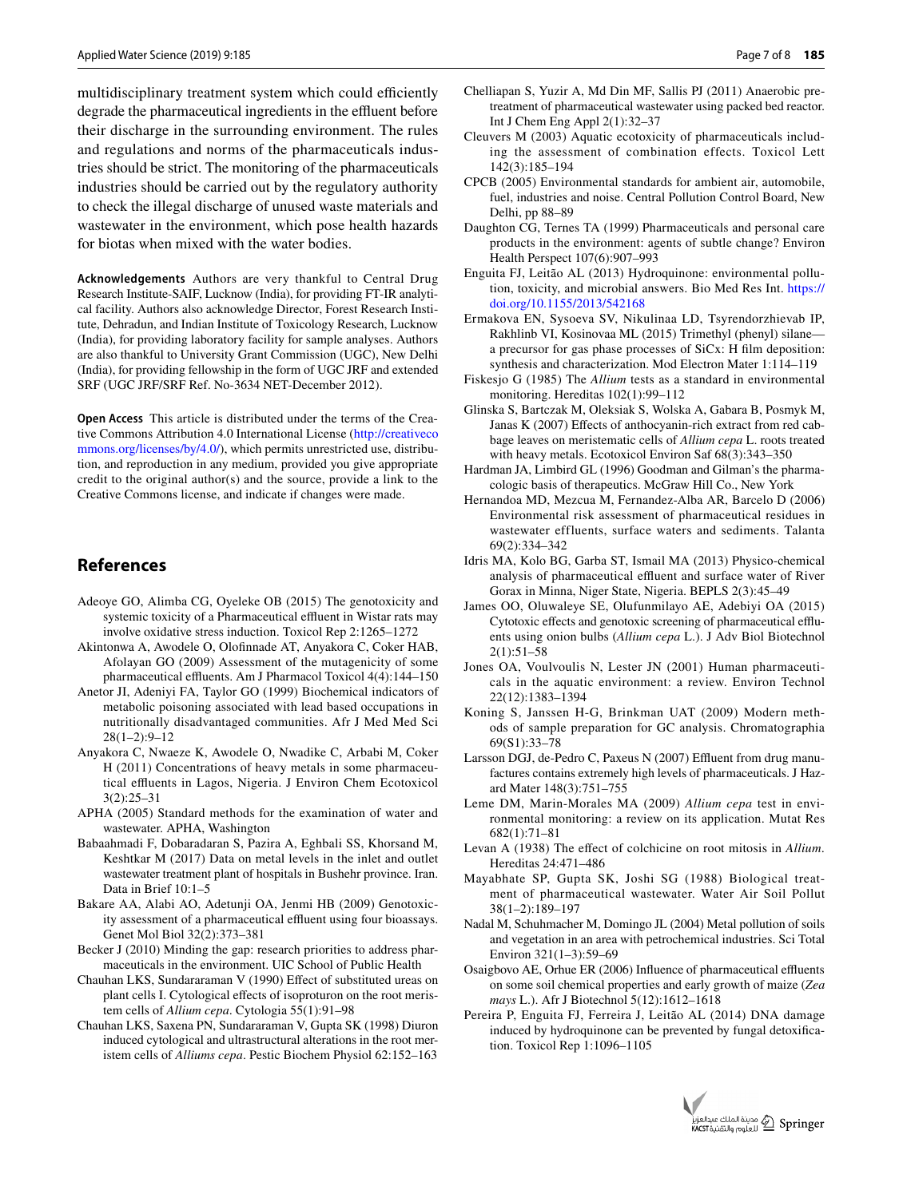multidisciplinary treatment system which could efficiently degrade the pharmaceutical ingredients in the effluent before their discharge in the surrounding environment. The rules and regulations and norms of the pharmaceuticals industries should be strict. The monitoring of the pharmaceuticals industries should be carried out by the regulatory authority to check the illegal discharge of unused waste materials and wastewater in the environment, which pose health hazards for biotas when mixed with the water bodies.

**Acknowledgements** Authors are very thankful to Central Drug Research Institute-SAIF, Lucknow (India), for providing FT-IR analytical facility. Authors also acknowledge Director, Forest Research Institute, Dehradun, and Indian Institute of Toxicology Research, Lucknow (India), for providing laboratory facility for sample analyses. Authors are also thankful to University Grant Commission (UGC), New Delhi (India), for providing fellowship in the form of UGC JRF and extended SRF (UGC JRF/SRF Ref. No-3634 NET-December 2012).

**Open Access** This article is distributed under the terms of the Creative Commons Attribution 4.0 International License [\(http://creativeco](http://creativecommons.org/licenses/by/4.0/) [mmons.org/licenses/by/4.0/](http://creativecommons.org/licenses/by/4.0/)), which permits unrestricted use, distribution, and reproduction in any medium, provided you give appropriate credit to the original author(s) and the source, provide a link to the Creative Commons license, and indicate if changes were made.

## **References**

- <span id="page-6-8"></span>Adeoye GO, Alimba CG, Oyeleke OB (2015) The genotoxicity and systemic toxicity of a Pharmaceutical effluent in Wistar rats may involve oxidative stress induction. Toxicol Rep 2:1265–1272
- <span id="page-6-6"></span>Akintonwa A, Awodele O, Olofnnade AT, Anyakora C, Coker HAB, Afolayan GO (2009) Assessment of the mutagenicity of some pharmaceutical effluents. Am J Pharmacol Toxicol 4(4):144-150
- <span id="page-6-2"></span>Anetor JI, Adeniyi FA, Taylor GO (1999) Biochemical indicators of metabolic poisoning associated with lead based occupations in nutritionally disadvantaged communities. Afr J Med Med Sci 28(1–2):9–12
- <span id="page-6-0"></span>Anyakora C, Nwaeze K, Awodele O, Nwadike C, Arbabi M, Coker H (2011) Concentrations of heavy metals in some pharmaceutical effluents in Lagos, Nigeria. J Environ Chem Ecotoxicol 3(2):25–31
- <span id="page-6-18"></span>APHA (2005) Standard methods for the examination of water and wastewater. APHA, Washington
- <span id="page-6-3"></span>Babaahmadi F, Dobaradaran S, Pazira A, Eghbali SS, Khorsand M, Keshtkar M (2017) Data on metal levels in the inlet and outlet wastewater treatment plant of hospitals in Bushehr province. Iran. Data in Brief 10:1–5
- <span id="page-6-7"></span>Bakare AA, Alabi AO, Adetunji OA, Jenmi HB (2009) Genotoxicity assessment of a pharmaceutical effluent using four bioassays. Genet Mol Biol 32(2):373–381
- <span id="page-6-15"></span>Becker J (2010) Minding the gap: research priorities to address pharmaceuticals in the environment. UIC School of Public Health
- <span id="page-6-20"></span>Chauhan LKS, Sundararaman V (1990) Efect of substituted ureas on plant cells I. Cytological efects of isoproturon on the root meristem cells of *Allium cepa*. Cytologia 55(1):91–98
- <span id="page-6-29"></span>Chauhan LKS, Saxena PN, Sundararaman V, Gupta SK (1998) Diuron induced cytological and ultrastructural alterations in the root meristem cells of *Alliums cepa*. Pestic Biochem Physiol 62:152–163
- <span id="page-6-4"></span>Chelliapan S, Yuzir A, Md Din MF, Sallis PJ (2011) Anaerobic pretreatment of pharmaceutical wastewater using packed bed reactor. Int J Chem Eng Appl 2(1):32–37
- <span id="page-6-9"></span>Cleuvers M (2003) Aquatic ecotoxicity of pharmaceuticals including the assessment of combination effects. Toxicol Lett 142(3):185–194
- <span id="page-6-24"></span>CPCB (2005) Environmental standards for ambient air, automobile, fuel, industries and noise. Central Pollution Control Board, New Delhi, pp 88–89
- <span id="page-6-12"></span>Daughton CG, Ternes TA (1999) Pharmaceuticals and personal care products in the environment: agents of subtle change? Environ Health Perspect 107(6):907–993
- <span id="page-6-26"></span>Enguita FJ, Leitão AL (2013) Hydroquinone: environmental pollution, toxicity, and microbial answers. Bio Med Res Int. [https://](https://doi.org/10.1155/2013/542168) [doi.org/10.1155/2013/542168](https://doi.org/10.1155/2013/542168)
- <span id="page-6-27"></span>Ermakova EN, Sysoeva SV, Nikulinaa LD, Tsyrendorzhievab IP, Rakhlinb VI, Kosinovaa ML (2015) Trimethyl (phenyl) silane a precursor for gas phase processes of SiCx: H flm deposition: synthesis and characterization. Mod Electron Mater 1:114–119
- <span id="page-6-21"></span>Fiskesjo G (1985) The *Allium* tests as a standard in environmental monitoring. Hereditas 102(1):99–112
- <span id="page-6-28"></span>Glinska S, Bartczak M, Oleksiak S, Wolska A, Gabara B, Posmyk M, Janas K (2007) Efects of anthocyanin-rich extract from red cabbage leaves on meristematic cells of *Allium cepa* L. roots treated with heavy metals. Ecotoxicol Environ Saf 68(3):343–350
- <span id="page-6-23"></span>Hardman JA, Limbird GL (1996) Goodman and Gilman's the pharmacologic basis of therapeutics. McGraw Hill Co., New York
- <span id="page-6-10"></span>Hernandoa MD, Mezcua M, Fernandez-Alba AR, Barcelo D (2006) Environmental risk assessment of pharmaceutical residues in wastewater effluents, surface waters and sediments. Talanta 69(2):334–342
- <span id="page-6-14"></span>Idris MA, Kolo BG, Garba ST, Ismail MA (2013) Physico-chemical analysis of pharmaceutical effluent and surface water of River Gorax in Minna, Niger State, Nigeria. BEPLS 2(3):45–49
- <span id="page-6-30"></span>James OO, Oluwaleye SE, Olufunmilayo AE, Adebiyi OA (2015) Cytotoxic effects and genotoxic screening of pharmaceutical effluents using onion bulbs (*Allium cepa* L.). J Adv Biol Biotechnol 2(1):51–58
- <span id="page-6-13"></span>Jones OA, Voulvoulis N, Lester JN (2001) Human pharmaceuticals in the aquatic environment: a review. Environ Technol 22(12):1383–1394
- <span id="page-6-19"></span>Koning S, Janssen H-G, Brinkman UAT (2009) Modern methods of sample preparation for GC analysis. Chromatographia 69(S1):33–78
- <span id="page-6-11"></span>Larsson DGJ, de-Pedro C, Paxeus N (2007) Effluent from drug manufactures contains extremely high levels of pharmaceuticals. J Hazard Mater 148(3):751–755
- <span id="page-6-17"></span>Leme DM, Marin-Morales MA (2009) *Allium cepa* test in environmental monitoring: a review on its application. Mutat Res 682(1):71–81
- <span id="page-6-16"></span>Levan A (1938) The efect of colchicine on root mitosis in *Allium*. Hereditas 24:471–486
- <span id="page-6-22"></span>Mayabhate SP, Gupta SK, Joshi SG (1988) Biological treatment of pharmaceutical wastewater. Water Air Soil Pollut 38(1–2):189–197
- <span id="page-6-5"></span>Nadal M, Schuhmacher M, Domingo JL (2004) Metal pollution of soils and vegetation in an area with petrochemical industries. Sci Total Environ 321(1–3):59–69
- <span id="page-6-1"></span>Osaigbovo AE, Orhue ER (2006) Influence of pharmaceutical effluents on some soil chemical properties and early growth of maize (*Zea mays* L.). Afr J Biotechnol 5(12):1612–1618
- <span id="page-6-25"></span>Pereira P, Enguita FJ, Ferreira J, Leitão AL (2014) DNA damage induced by hydroquinone can be prevented by fungal detoxifcation. Toxicol Rep 1:1096–1105